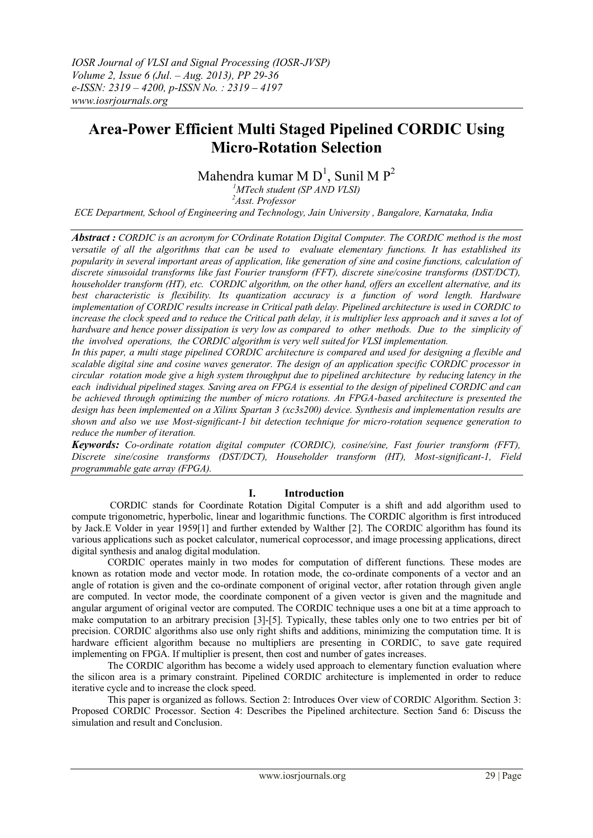# **Area-Power Efficient Multi Staged Pipelined CORDIC Using Micro-Rotation Selection**

Mahendra kumar M $D^1$ , Sunil M $P^2$ 

*<sup>1</sup>MTech student (SP AND VLSI) <sup>2</sup>Asst. Professor*

*ECE Department, School of Engineering and Technology, Jain University , Bangalore, Karnataka, India* 

*Abstract : CORDIC is an acronym for COrdinate Rotation Digital Computer. The CORDIC method is the most versatile of all the algorithms that can be used to evaluate elementary functions. It has established its popularity in several important areas of application, like generation of sine and cosine functions, calculation of discrete sinusoidal transforms like fast Fourier transform (FFT), discrete sine/cosine transforms (DST/DCT), householder transform (HT), etc. CORDIC algorithm, on the other hand, offers an excellent alternative, and its best characteristic is flexibility. Its quantization accuracy is a function of word length. Hardware implementation of CORDIC results increase in Critical path delay. Pipelined architecture is used in CORDIC to increase the clock speed and to reduce the Critical path delay, it is multiplier less approach and it saves a lot of hardware and hence power dissipation is very low as compared to other methods. Due to the simplicity of the involved operations, the CORDIC algorithm is very well suited for VLSI implementation.*

*In this paper, a multi stage pipelined CORDIC architecture is compared and used for designing a flexible and scalable digital sine and cosine waves generator. The design of an application specific CORDIC processor in circular rotation mode give a high system throughput due to pipelined architecture by reducing latency in the each individual pipelined stages. Saving area on FPGA is essential to the design of pipelined CORDIC and can be achieved through optimizing the number of micro rotations. An FPGA-based architecture is presented the design has been implemented on a Xilinx Spartan 3 (xc3s200) device. Synthesis and implementation results are shown and also we use Most-significant-1 bit detection technique for micro-rotation sequence generation to reduce the number of iteration.*

*Keywords: Co-ordinate rotation digital computer (CORDIC), cosine/sine, Fast fourier transform (FFT), Discrete sine/cosine transforms (DST/DCT), Householder transform (HT), Most-significant-1, Field programmable gate array (FPGA).*

# **I. Introduction**

CORDIC stands for Coordinate Rotation Digital Computer is a shift and add algorithm used to compute trigonometric, hyperbolic, linear and logarithmic functions. The CORDIC algorithm is first introduced by Jack.E Volder in year 1959[1] and further extended by Walther [2]. The CORDIC algorithm has found its various applications such as pocket calculator, numerical coprocessor, and image processing applications, direct digital synthesis and analog digital modulation.

CORDIC operates mainly in two modes for computation of different functions. These modes are known as rotation mode and vector mode. In rotation mode, the co-ordinate components of a vector and an angle of rotation is given and the co-ordinate component of original vector, after rotation through given angle are computed. In vector mode, the coordinate component of a given vector is given and the magnitude and angular argument of original vector are computed. The CORDIC technique uses a one bit at a time approach to make computation to an arbitrary precision [3]-[5]. Typically, these tables only one to two entries per bit of precision. CORDIC algorithms also use only right shifts and additions, minimizing the computation time. It is hardware efficient algorithm because no multipliers are presenting in CORDIC, to save gate required implementing on FPGA. If multiplier is present, then cost and number of gates increases.

The CORDIC algorithm has become a widely used approach to elementary function evaluation where the silicon area is a primary constraint. Pipelined CORDIC architecture is implemented in order to reduce iterative cycle and to increase the clock speed.

This paper is organized as follows. Section 2: Introduces Over view of CORDIC Algorithm. Section 3: Proposed CORDIC Processor. Section 4: Describes the Pipelined architecture. Section 5and 6: Discuss the simulation and result and Conclusion.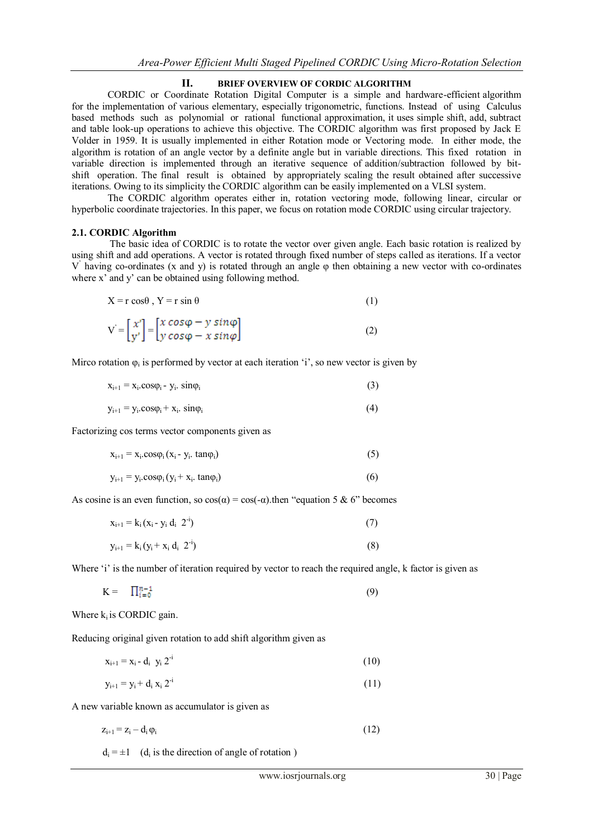### **II. BRIEF OVERVIEW OF CORDIC ALGORITHM**

CORDIC or Coordinate Rotation Digital Computer is a simple and hardware-efficient algorithm for the implementation of various elementary, especially trigonometric, functions. Instead of using Calculus based methods such as polynomial or rational functional approximation, it uses simple shift, add, subtract and table look-up operations to achieve this objective. The CORDIC algorithm was first proposed by Jack E Volder in 1959. It is usually implemented in either Rotation mode or Vectoring mode. In either mode, the algorithm is rotation of an angle vector by a definite angle but in variable directions. This fixed rotation in variable direction is implemented through an iterative sequence of addition/subtraction followed by bitshift operation. The final result is obtained by appropriately scaling the result obtained after successive iterations. Owing to its simplicity the CORDIC algorithm can be easily implemented on a VLSI system.

The CORDIC algorithm operates either in, rotation vectoring mode, following linear, circular or hyperbolic coordinate trajectories. In this paper, we focus on rotation mode CORDIC using circular trajectory.

#### **2.1. CORDIC Algorithm**

 The basic idea of CORDIC is to rotate the vector over given angle. Each basic rotation is realized by using shift and add operations. A vector is rotated through fixed number of steps called as iterations. If a vector V " having co-ordinates (x and y) is rotated through an angle φ then obtaining a new vector with co-ordinates where x' and y' can be obtained using following method.

| $X = r \cos\theta$ , $Y = r \sin \theta$ |
|------------------------------------------|
|                                          |

$$
V = \begin{bmatrix} x' \\ y' \end{bmatrix} = \begin{bmatrix} x \cos\varphi - y \sin\varphi \\ y \cos\varphi - x \sin\varphi \end{bmatrix}
$$
 (2)

Mirco rotation  $\varphi_i$  is performed by vector at each iteration 'i', so new vector is given by

| $x_{i+1} = x_i \text{.} \cos \varphi_i - y_i \text{.} \sin \varphi_i$ | (3) |  |
|-----------------------------------------------------------------------|-----|--|
| $y_{i+1} = y_i \cdot \cos\varphi_i + x_i \cdot \sin\varphi_i$         |     |  |

Factorizing cos terms vector components given as

| $x_{i+1} = x_i \cdot \cos\varphi_i (x_i - y_i \cdot \tan\varphi_i)$ | (5) |
|---------------------------------------------------------------------|-----|
|                                                                     |     |

$$
y_{i+1} = y_i \cdot \cos\varphi_i (y_i + x_i \cdot \tan\varphi_i) \tag{6}
$$

As cosine is an even function, so  $cos(\alpha) = cos(-\alpha)$ , then "equation 5 & 6" becomes

| $x_{i+1} = k_i (x_i - y_i d_i 2^i)$ | (7) |
|-------------------------------------|-----|
| $y_{i+1} = k_i (y_i + x_i d_i 2^i)$ | (8) |

Where 'i' is the number of iteration required by vector to reach the required angle, k factor is given as

$$
K = \prod_{i=0}^{n-1} (9)
$$

Where  $k_i$  is CORDIC gain.

Reducing original given rotation to add shift algorithm given as

$$
x_{i+1} = x_i - d_i \ \ y_i \ 2^{-i} \tag{10}
$$

$$
y_{i+1} = y_i + d_i x_i 2^{-i}
$$
 (11)

A new variable known as accumulator is given as

$$
z_{i+1} = z_i - d_i \varphi_i \tag{12}
$$

 $d_i = \pm 1$  (d<sub>i</sub> is the direction of angle of rotation)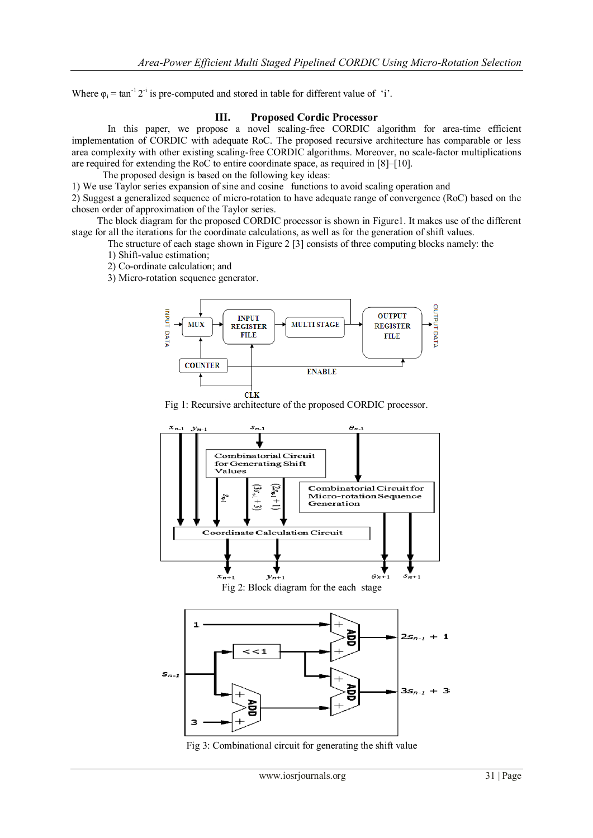Where  $\varphi_i = \tan^{-1} 2^{-i}$  is pre-computed and stored in table for different value of 'i'.

# **III. Proposed Cordic Processor**

In this paper, we propose a novel scaling-free CORDIC algorithm for area-time efficient implementation of CORDIC with adequate RoC. The proposed recursive architecture has comparable or less area complexity with other existing scaling-free CORDIC algorithms. Moreover, no scale-factor multiplications are required for extending the RoC to entire coordinate space, as required in [8]–[10].

The proposed design is based on the following key ideas:

1) We use Taylor series expansion of sine and cosine functions to avoid scaling operation and

2) Suggest a generalized sequence of micro-rotation to have adequate range of convergence (RoC) based on the chosen order of approximation of the Taylor series.

 The block diagram for the proposed CORDIC processor is shown in Figure1. It makes use of the different stage for all the iterations for the coordinate calculations, as well as for the generation of shift values.

The structure of each stage shown in Figure 2 [3] consists of three computing blocks namely: the

1) Shift-value estimation;

2) Co-ordinate calculation; and

3) Micro-rotation sequence generator.



Fig 1: Recursive architecture of the proposed CORDIC processor.



Fig 3: Combinational circuit for generating the shift value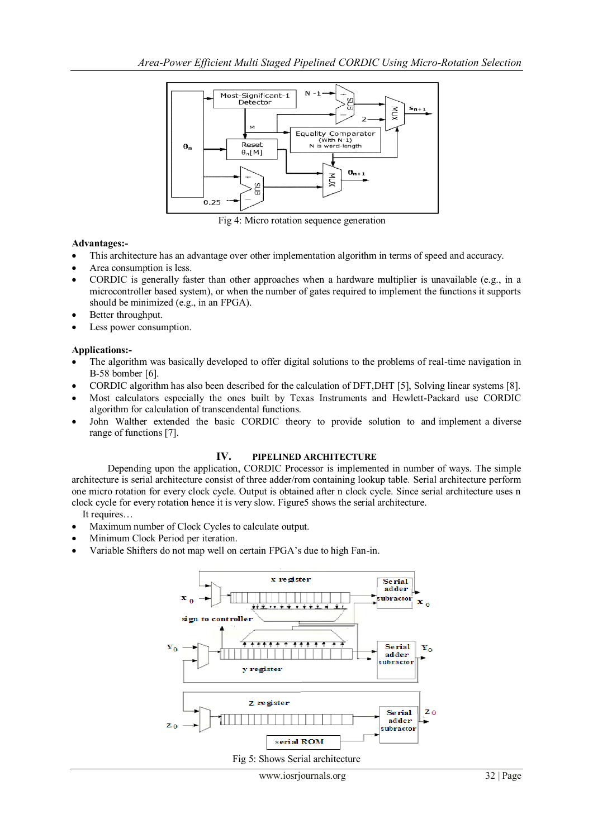

Fig 4: Micro rotation sequence generation

# **Advantages:-**

- This architecture has an advantage over other implementation algorithm in terms of speed and accuracy.
- Area consumption is less.
- CORDIC is generally faster than other approaches when a hardware multiplier is unavailable (e.g., in a microcontroller based system), or when the number of gates required to implement the functions it supports should be minimized (e.g., in an FPGA).
- Better throughput.
- Less power consumption.

### **Applications:-**

- The algorithm was basically developed to offer digital solutions to the problems of real-time navigation in B-58 bomber [6].
- CORDIC algorithm has also been described for the calculation of DFT,DHT [5], Solving linear systems [8].
- Most calculators especially the ones built by Texas Instruments and Hewlett-Packard use CORDIC algorithm for calculation of transcendental functions.
- John Walther extended the basic CORDIC theory to provide solution to and implement a diverse range of functions [7].

# **IV. PIPELINED ARCHITECTURE**

Depending upon the application, CORDIC Processor is implemented in number of ways. The simple architecture is serial architecture consist of three adder/rom containing lookup table*.* Serial architecture perform one micro rotation for every clock cycle. Output is obtained after n clock cycle. Since serial architecture uses n clock cycle for every rotation hence it is very slow. Figure5 shows the serial architecture.

It requires…

- Maximum number of Clock Cycles to calculate output.
- Minimum Clock Period per iteration.
- Variable Shifters do not map well on certain FPGA"s due to high Fan-in.

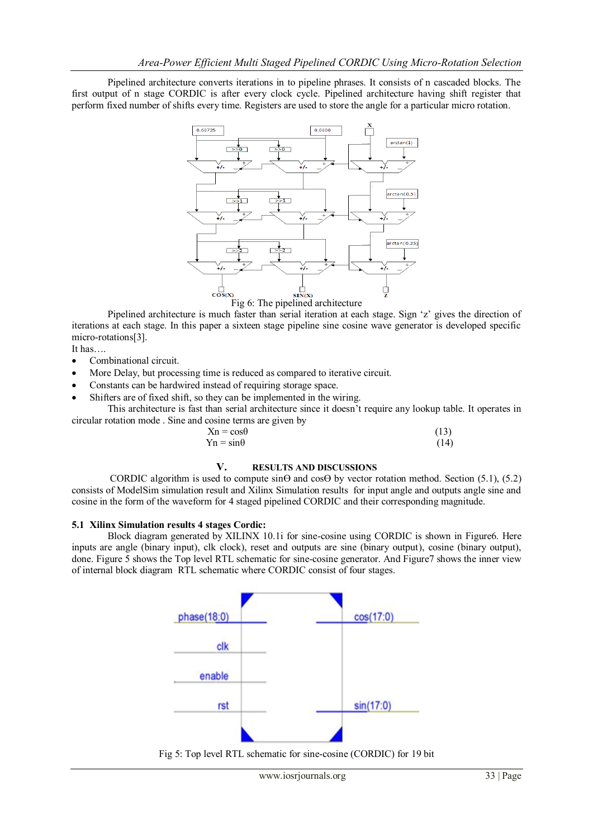Pipelined architecture converts iterations in to pipeline phrases. It consists of n cascaded blocks. The first output of n stage CORDIC is after every clock cycle. Pipelined architecture having shift register that perform fixed number of shifts every time. Registers are used to store the angle for a particular micro rotation.



Pipelined architecture is much faster than serial iteration at each stage. Sign 'z' gives the direction of iterations at each stage. In this paper a sixteen stage pipeline sine cosine wave generator is developed specific micro-rotations[3].

It has….

- Combinational circuit.
- More Delay, but processing time is reduced as compared to iterative circuit.
- Constants can be hardwired instead of requiring storage space.
- Shifters are of fixed shift, so they can be implemented in the wiring.

This architecture is fast than serial architecture since it doesn"t require any lookup table. It operates in circular rotation mode . Sine and cosine terms are given by

| $Xn = cos\theta$ | (13) |
|------------------|------|
| $Yn = sin\theta$ | (14) |

#### **V. RESULTS AND DISCUSSIONS**

CORDIC algorithm is used to compute  $\sin\Theta$  and  $\cos\Theta$  by vector rotation method. Section (5.1), (5.2) consists of ModelSim simulation result and Xilinx Simulation results for input angle and outputs angle sine and cosine in the form of the waveform for 4 staged pipelined CORDIC and their corresponding magnitude.

#### **5.1 Xilinx Simulation results 4 stages Cordic:**

Block diagram generated by XILINX 10.1i for sine-cosine using CORDIC is shown in Figure6. Here inputs are angle (binary input), clk clock), reset and outputs are sine (binary output), cosine (binary output), done. Figure 5 shows the Top level RTL schematic for sine-cosine generator. And Figure7 shows the inner view of internal block diagram RTL schematic where CORDIC consist of four stages.



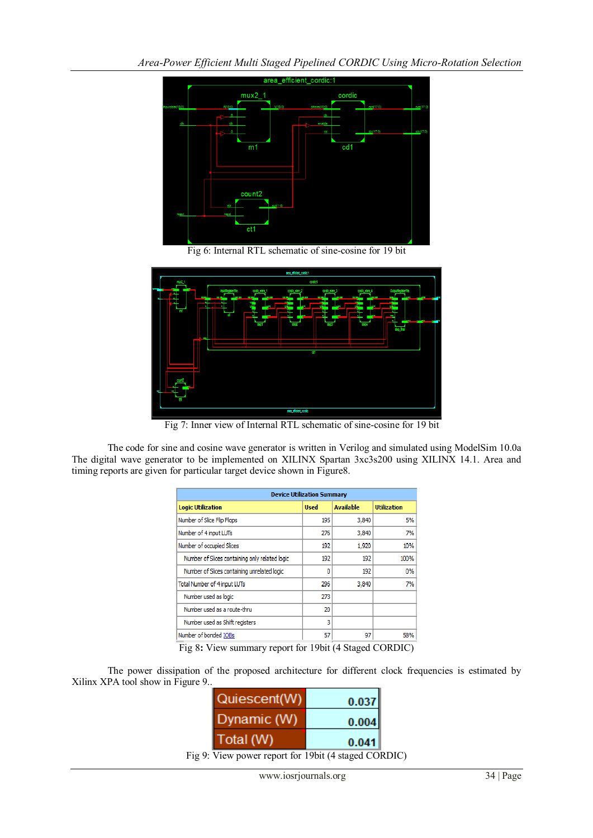

Fig 6: Internal RTL schematic of sine-cosine for 19 bit



Fig 7: Inner view of Internal RTL schematic of sine-cosine for 19 bit

The code for sine and cosine wave generator is written in Verilog and simulated using ModelSim 10.0a The digital wave generator to be implemented on XILINX Spartan 3xc3s200 using XILINX 14.1. Area and timing reports are given for particular target device shown in Figure8.

| <b>Device Utilization Summary</b>              |             |                  |                    |
|------------------------------------------------|-------------|------------------|--------------------|
| <b>Logic Utilization</b>                       | <b>Used</b> | <b>Available</b> | <b>Utilization</b> |
| Number of Slice Flip Flops                     | 195         | 3,840            | 5%                 |
| Number of 4 input LUTs                         | 276         | 3,840            | 7%                 |
| Number of occupied Slices                      | 192         | 1,920            | 10%                |
| Number of Slices containing only related logic | 192         | 192              | 100%               |
| Number of Slices containing unrelated logic    | 0           | 192              | 0%                 |
| <b>Total Number of 4 input LUTs</b>            | 296         | 3,840            | 7%                 |
| Number used as logic                           | 273         |                  |                    |
| Number used as a route-thru                    | 20          |                  |                    |
| Number used as Shift registers                 | 3           |                  |                    |
| Number of bonded IOBs                          | 57          | 97               | 58%                |

Fig 8**:** View summary report for 19bit (4 Staged CORDIC)

The power dissipation of the proposed architecture for different clock frequencies is estimated by Xilinx XPA tool show in Figure 9..

| Quiescent(W) | 0.037 |
|--------------|-------|
| Dynamic (W)  | 0.004 |
| Total (W)    | 0.041 |
|              |       |

Fig 9: View power report for 19bit (4 staged CORDIC)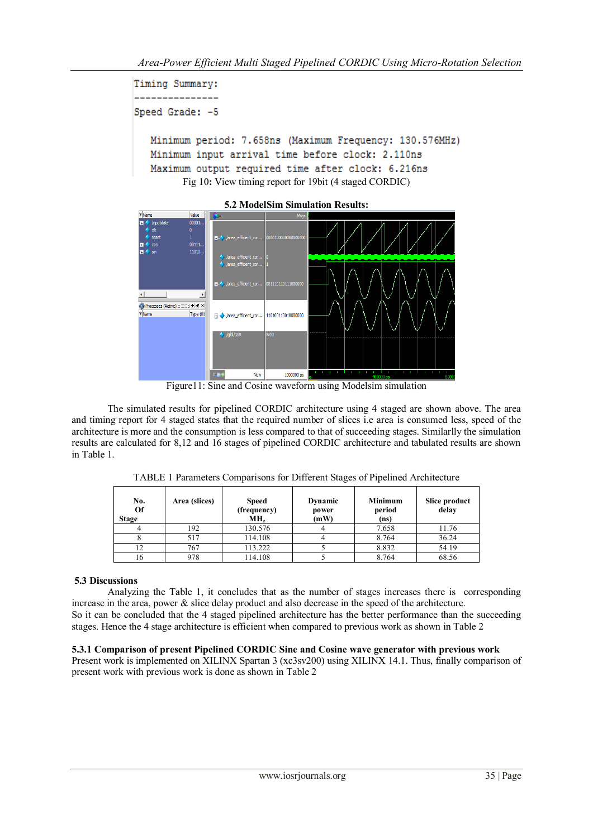```
Timing Summary:
_______________
Speed Grade: -5
  Minimum period: 7.658ns (Maximum Frequency: 130.576MHz)
  Minimum input arrival time before clock: 2.110ns
  Maximum output required time after clock: 6.216ns
        Fig 10: View timing report for 19bit (4 staged CORDIC)
```


**5.2 ModelSim Simulation Results:**



Figure11: Sine and Cosine waveform using Modelsim simulation

 The simulated results for pipelined CORDIC architecture using 4 staged are shown above. The area and timing report for 4 staged states that the required number of slices i.e area is consumed less, speed of the architecture is more and the consumption is less compared to that of succeeding stages. Similarlly the simulation results are calculated for 8,12 and 16 stages of pipelined CORDIC architecture and tabulated results are shown in Table 1.

| Area (slices) | <b>Speed</b><br>(frequency)<br>MH, | Dynamic<br>power<br>(mW) | <b>Minimum</b><br>period<br>(ns) | Slice product<br>delay |
|---------------|------------------------------------|--------------------------|----------------------------------|------------------------|
| 192           | 130.576                            |                          | 7.658                            | 11.76                  |
| 517           | 114.108                            |                          | 8.764                            | 36.24                  |
|               |                                    | .                        |                                  | .                      |

12 | 767 | 113.222 | 5 | 8.832 | 54.19 16 | 978 | 114.108 | 5 | 8.764 | 68.56

TABLE 1 Parameters Comparisons for Different Stages of Pipelined Architecture

# **5.3 Discussions**

Analyzing the Table 1, it concludes that as the number of stages increases there is corresponding increase in the area, power & slice delay product and also decrease in the speed of the architecture. So it can be concluded that the 4 staged pipelined architecture has the better performance than the succeeding stages. Hence the 4 stage architecture is efficient when compared to previous work as shown in Table 2

# **5.3.1 Comparison of present Pipelined CORDIC Sine and Cosine wave generator with previous work**

Present work is implemented on XILINX Spartan 3 (xc3sv200) using XILINX 14.1. Thus, finally comparison of present work with previous work is done as shown in Table 2